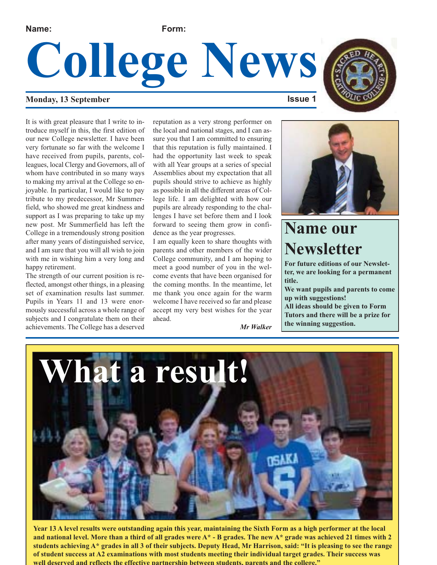**Name: Form:**

# **College News**

#### **Monday, 13 September ISSUE 1**

It is with great pleasure that I write to introduce myself in this, the first edition of our new College newsletter. I have been very fortunate so far with the welcome I have received from pupils, parents, colleagues, local Clergy and Governors, all of whom have contributed in so many ways to making my arrival at the College so enjoyable. In particular, I would like to pay tribute to my predecessor, Mr Summerfield, who showed me great kindness and support as I was preparing to take up my new post. Mr Summerfield has left the College in a tremendously strong position after many years of distinguished service, and I am sure that you will all wish to join with me in wishing him a very long and happy retirement.

The strength of our current position is reflected, amongst other things, in a pleasing set of examination results last summer. Pupils in Years 11 and 13 were enormously successful across a whole range of subjects and I congratulate them on their achievements. The College has a deserved reputation as a very strong performer on the local and national stages, and I can assure you that I am committed to ensuring that this reputation is fully maintained. I had the opportunity last week to speak with all Year groups at a series of special Assemblies about my expectation that all pupils should strive to achieve as highly as possible in all the different areas of College life. I am delighted with how our pupils are already responding to the challenges I have set before them and I look forward to seeing them grow in confidence as the year progresses.

I am equally keen to share thoughts with parents and other members of the wider College community, and I am hoping to meet a good number of you in the welcome events that have been organised for the coming months. In the meantime, let me thank you once again for the warm welcome I have received so far and please accept my very best wishes for the year ahead.

*Mr Walker*





### **Name our Newsletter**

**For future editions of our Newsletter, we are looking for a permanent title.**

**We want pupils and parents to come up with suggestions! All ideas should be given to Form Tutors and there will be a prize for the winning suggestion.** 



**Year 13 A level results were outstanding again this year, maintaining the Sixth Form as a high performer at the local and national level. More than a third of all grades were A\* - B grades. The new A\* grade was achieved 21 times with 2 students achieving A\* grades in all 3 of their subjects. Deputy Head, Mr Harrison, said: "It is pleasing to see the range of student success at A2 examinations with most students meeting their individual target grades. Their success was well deserved and reflects the effective partnership between students, parents and the college."**